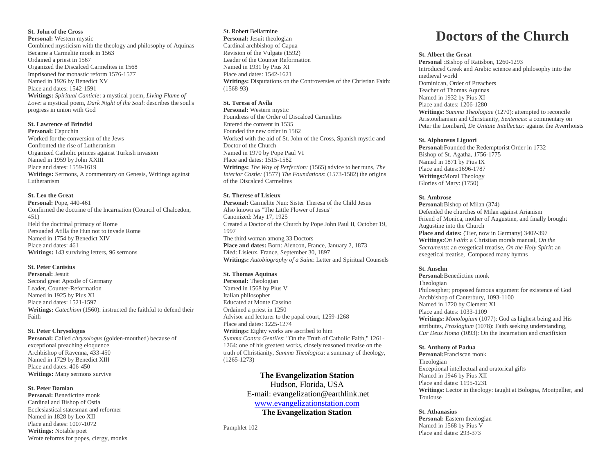### **St. John of the Cross**

**Personal:** Western mystic Combined mysticism with the theology and philosophy of Aquinas Became a Carmelite monk in 1563 Ordained a priest in 1567 Organized the Discalced Carmelites in 1568 Imprisoned for monastic reform 1576-1577 Named in 1926 by Benedict XV Place and dates: 1542-1591 **Writings:** *Spiritual Canticle*: a mystical poem, *Living Flame of Love*: a mystical poem, *Dark Night of the Soul*: describes the soul's progress in union with God

#### **St. Lawrence of Brindisi**

**Personal:** Capuchin Worked for the conversion of the Jews Confronted the rise of Lutheranism Organized Catholic princes against Turkish invasion Named in 1959 by John XXIII Place and dates: 1559-1619 **Writings:** Sermons, A commentary on Genesis, Writings against Lutheranism

## **St. Leo the Great**

**Personal:** Pope, 440-461 Confirmed the doctrine of the Incarnation (Council of Chalcedon, 451) Held the doctrinal primacy of Rome Persuaded Atilla the Hun not to invade Rome Named in 1754 by Benedict XIV Place and dates: 461 **Writings:** 143 surviving letters, 96 sermons

#### **St. Peter Canisius**

**Personal:** Jesuit Second great Apostle of Germany Leader, Counter-Reformation Named in 1925 by Pius XI Place and dates: 1521-1597 **Writings:** *Catechism* (1560): instructed the faithful to defend their Faith

#### **St. Peter Chrysologus**

**Personal:** Called *chrysologus* (golden-mouthed) because of exceptional preaching eloquence Archbishop of Ravenna, 433-450 Named in 1729 by Benedict XIII Place and dates: 406-450 **Writings:** Many sermons survive

#### **St. Peter Damian**

**Personal:** Benedictine monk Cardinal and Bishop of Ostia Ecclesiastical statesman and reformer Named in 1828 by Leo XII Place and dates:  $1007-1072$ **Writings:** Notable poet Wrote reforms for popes, clergy, monks

#### St. Robert Bellarmine **Personal:** Jesuit theologian Cardinal archbishop of Capua Revision of the Vulgate (1592) Leader of the Counter Reformation Named in 1931 by Pius XI Place and dates: 1542-1621

**Writings:** Disputations on the Controversies of the Christian Faith: (1568-93)

# **St. Teresa of Avila**

**Personal:** Western mystic Foundress of the Order of Discalced Carmelites Entered the convent in 1535 Founded the new order in 1562 Worked with the aid of St. John of the Cross, Spanish mystic and Doctor of the Church Named in 1970 by Pope Paul VI Place and dates: 1515-1582 **Writings:** *The Way of Perfection:* (1565) advice to her nuns, *The Interior Castle:* (1577) *The Foundations*: (1573-1582) the origins of the Discalced Carmelites

## **St. Therese of Lisieux**

**Personal:** Carmelite Nun: Sister Theresa of the Child Jesus Also known as "The Little Flower of Jesus" Canonized: May 17, 1925 Created a Doctor of the Church by Pope John Paul II, October 19, 1997 The third woman among 33 Doctors **Place and dates:** Born: Alencon, France, January 2, 1873 Died: Lisieux, France, September 30, 1897 **Writings:** *Autobiography of a Saint*: Letter and Spiritual Counsels

#### **St. Thomas Aquinas**

**Personal:** Theologian Named in 1568 by Pius V Italian philosopher Educated at Monte Cassino Ordained a priest in 1250 Advisor and lecturer to the papal court, 1259-1268 Place and dates: 1225-1274 **Writings:** Eighty works are ascribed to him *Summa Contra Gentiles*: "On the Truth of Catholic Faith," 1261- 1264: one of his greatest works, closely reasoned treatise on the truth of Christianity, *Summa Theologica*: a summary of theology, (1265-1273)

# **The Evangelization Station** Hudson, Florida, USA

E-mail: evangelization@earthlink.net [www.evangelizationstation.com](http://www.pjpiisoe.org/)

**The Evangelization Station**

Pamphlet 102

# **Doctors of the Church**

## **St. Albert the Great**

**Personal** :Bishop of Ratisbon, 1260-1293 Introduced Greek and Arabic science and philosophy into the medieval world Dominican, Order of Preachers Teacher of Thomas Aquinas Named in 1932 by Pius XI Place and dates: 1206-1280 **Writings:** *Summa Theologiae* (1270): attempted to reconcile Aristotelianism and Christianity, *Sentences*: a commentary on Peter the Lombard, *De Unitate Intellectus:* against the Averrhoists

#### **St. Alphonsus Liguori**

**Personal:**Founded the Redemptorist Order in 1732 Bishop of St. Agatha, 1756-1775 Named in 1871 by Pius IX Place and dates:1696-1787 **Writings:**Moral Theology Glories of Mary: (1750)

#### **St. Ambrose**

**Personal:**Bishop of Milan (374) Defended the churches of Milan against Arianism Friend of Monica, mother of Augustine, and finally brought Augustine into the Church Place and dates: (Tier, now in Germany) 340?-397 **Writings:***On Faith*: a Christian morals manual, *On the Sacraments*: an exegetical treatise, *On the Holy Spirit*: an exegetical treatise, Composed many hymns

#### **St. Anselm**

**Personal:**Benedictine monk Theologian Philosopher; proposed famous argument for existence of God Archbishop of Canterbury, 1093-1100 Named in 1720 by Clement XI Place and dates: 1033-1109 **Writings:** *Monologium* (1077): God as highest being and His attributes, *Proslogium* (1078): Faith seeking understanding, *Cur Deus Homo* (1093): On the Incarnation and crucifixion

#### **St. Anthony of Padua**

**Personal:**Franciscan monk Theologian Exceptional intellectual and oratorical gifts Named in 1946 by Pius XII Place and dates: 1195-1231 **Writings:** Lector in theology: taught at Bologna, Montpellier, and Toulouse

#### **St. Athanasius**

**Personal:** Eastern theologian Named in 1568 by Pius V Place and dates: 293-373